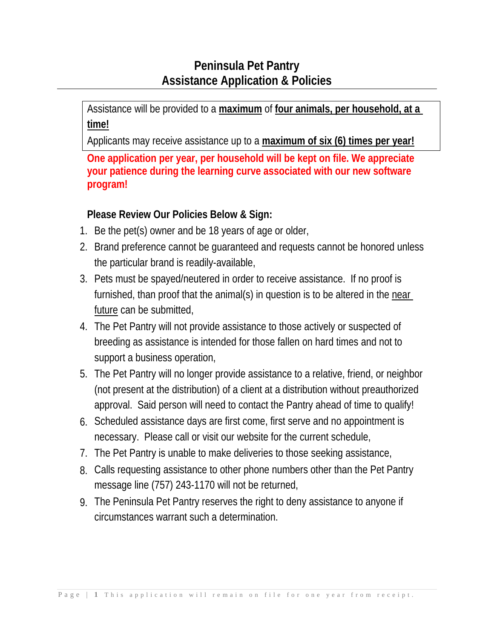# **Peninsula Pet Pantry Assistance Application & Policies**

Assistance will be provided to a **maximum** of **four animals, per household, at a time!**

Applicants may receive assistance up to a **maximum of six (6) times per year!**

**One application per year, per household will be kept on file. We appreciate your patience during the learning curve associated with our new software program!**

# **Please Review Our Policies Below & Sign:**

- 1. Be the pet(s) owner and be 18 years of age or older,
- 2. Brand preference cannot be guaranteed and requests cannot be honored unless the particular brand is readily-available,
- 3. Pets must be spayed/neutered in order to receive assistance. If no proof is furnished, than proof that the animal(s) in question is to be altered in the near future can be submitted,
- 4. The Pet Pantry will not provide assistance to those actively or suspected of breeding as assistance is intended for those fallen on hard times and not to support a business operation,
- 5. The Pet Pantry will no longer provide assistance to a relative, friend, or neighbor (not present at the distribution) of a client at a distribution without preauthorized approval. Said person will need to contact the Pantry ahead of time to qualify!
- 6. Scheduled assistance days are first come, first serve and no appointment is necessary. Please call or visit our website for the current schedule,
- 7. The Pet Pantry is unable to make deliveries to those seeking assistance,
- 8. Calls requesting assistance to other phone numbers other than the Pet Pantry message line (757) 243-1170 will not be returned,
- 9. The Peninsula Pet Pantry reserves the right to deny assistance to anyone if circumstances warrant such a determination.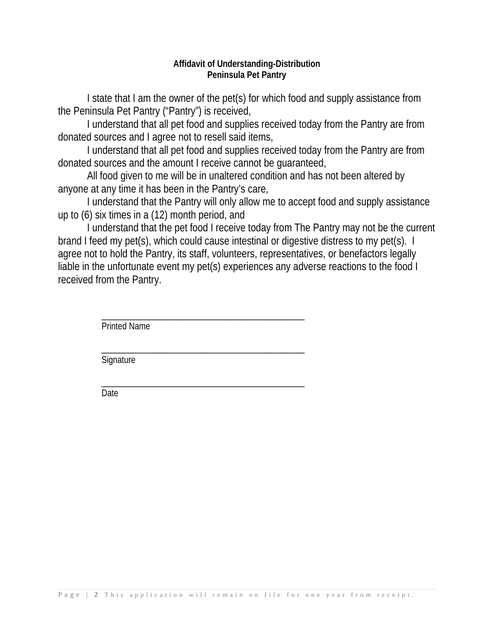#### **Affidavit of Understanding-Distribution Peninsula Pet Pantry**

I state that I am the owner of the pet(s) for which food and supply assistance from the Peninsula Pet Pantry ("Pantry") is received,

I understand that all pet food and supplies received today from the Pantry are from donated sources and I agree not to resell said items,

I understand that all pet food and supplies received today from the Pantry are from donated sources and the amount I receive cannot be guaranteed,

All food given to me will be in unaltered condition and has not been altered by anyone at any time it has been in the Pantry's care,

I understand that the Pantry will only allow me to accept food and supply assistance up to (6) six times in a (12) month period, and

I understand that the pet food I receive today from The Pantry may not be the current brand I feed my pet(s), which could cause intestinal or digestive distress to my pet(s). I agree not to hold the Pantry, its staff, volunteers, representatives, or benefactors legally liable in the unfortunate event my pet(s) experiences any adverse reactions to the food I received from the Pantry.

> \_\_\_\_\_\_\_\_\_\_\_\_\_\_\_\_\_\_\_\_\_\_\_\_\_\_\_\_\_\_\_\_\_\_\_\_\_\_\_\_\_\_\_\_\_\_ Printed Name

> \_\_\_\_\_\_\_\_\_\_\_\_\_\_\_\_\_\_\_\_\_\_\_\_\_\_\_\_\_\_\_\_\_\_\_\_\_\_\_\_\_\_\_\_\_\_ **Signature**

> \_\_\_\_\_\_\_\_\_\_\_\_\_\_\_\_\_\_\_\_\_\_\_\_\_\_\_\_\_\_\_\_\_\_\_\_\_\_\_\_\_\_\_\_\_\_ Date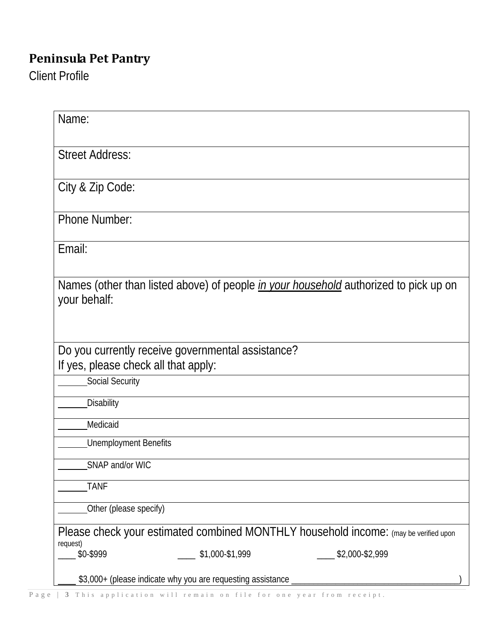# **Peninsula Pet Pantry**

Client Profile

| Name:                                                                                                       |                 |
|-------------------------------------------------------------------------------------------------------------|-----------------|
| <b>Street Address:</b>                                                                                      |                 |
| City & Zip Code:                                                                                            |                 |
| <b>Phone Number:</b>                                                                                        |                 |
| Email:                                                                                                      |                 |
| Names (other than listed above) of people <i>in your household</i> authorized to pick up on<br>your behalf: |                 |
| Do you currently receive governmental assistance?<br>If yes, please check all that apply:                   |                 |
| Social Security                                                                                             |                 |
| Disability                                                                                                  |                 |
| Medicaid                                                                                                    |                 |
| <b>Unemployment Benefits</b>                                                                                |                 |
| SNAP and/or WIC                                                                                             |                 |
| <b>TANF</b>                                                                                                 |                 |
| Other (please specify)                                                                                      |                 |
| Please check your estimated combined MONTHLY household income: (may be verified upon                        |                 |
| request)<br>\$0-\$999<br>\$1,000-\$1,999                                                                    | \$2,000-\$2,999 |
| \$3,000+ (please indicate why you are requesting assistance                                                 |                 |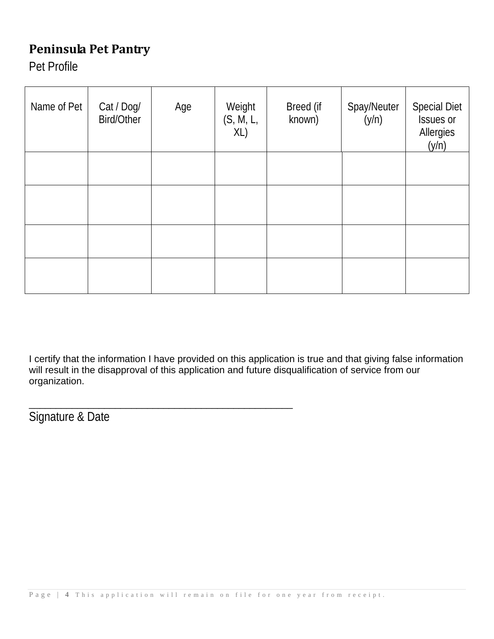# **Peninsula Pet Pantry**

Pet Profile

| Name of Pet | Cat / Dog/<br><b>Bird/Other</b> | Age | Weight<br>(S, M, L,<br>XL) | Breed (if<br>known) | Spay/Neuter<br>(y/n) | <b>Special Diet</b><br>Issues or<br>Allergies<br>(y/n) |
|-------------|---------------------------------|-----|----------------------------|---------------------|----------------------|--------------------------------------------------------|
|             |                                 |     |                            |                     |                      |                                                        |
|             |                                 |     |                            |                     |                      |                                                        |
|             |                                 |     |                            |                     |                      |                                                        |
|             |                                 |     |                            |                     |                      |                                                        |

I certify that the information I have provided on this application is true and that giving false information will result in the disapproval of this application and future disqualification of service from our organization.

Signature & Date

\_\_\_\_\_\_\_\_\_\_\_\_\_\_\_\_\_\_\_\_\_\_\_\_\_\_\_\_\_\_\_\_\_\_\_\_\_\_\_\_\_\_\_\_\_\_\_\_\_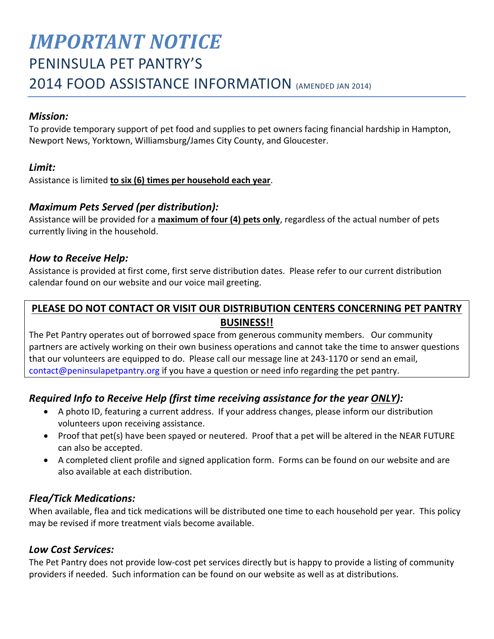# *IMPORTANT NOTICE* PENINSULA PET PANTRY'S 2014 FOOD ASSISTANCE INFORMATION (AMENDED JAN 2014)

#### *Mission:*

To provide temporary support of pet food and supplies to pet owners facing financial hardship in Hampton, Newport News, Yorktown, Williamsburg/James City County, and Gloucester.

### *Limit:*

Assistance is limited **to six (6) times per household each year**.

## *Maximum Pets Served (per distribution):*

Assistance will be provided for a **maximum of four (4) pets only**, regardless of the actual number of pets currently living in the household.

#### *How to Receive Help:*

Assistance is provided at first come, first serve distribution dates. Please refer to our current distribution calendar found on our website and our voice mail greeting.

## **PLEASE DO NOT CONTACT OR VISIT OUR DISTRIBUTION CENTERS CONCERNING PET PANTRY BUSINESS!!**

The Pet Pantry operates out of borrowed space from generous community members. Our community partners are actively working on their own business operations and cannot take the time to answer questions that our volunteers are equipped to do. Please call our message line at 243-1170 or send an email, [contact@peninsulapetpantry.org](mailto:contact@peninsulapetpantry.org) if you have a question or need info regarding the pet pantry.

## *Required Info to Receive Help (first time receiving assistance for the year ONLY):*

- A photo ID, featuring a current address. If your address changes, please inform our distribution volunteers upon receiving assistance.
- Proof that pet(s) have been spayed or neutered. Proof that a pet will be altered in the NEAR FUTURE can also be accepted.
- A completed client profile and signed application form. Forms can be found on our website and are also available at each distribution.

### *Flea/Tick Medications:*

When available, flea and tick medications will be distributed one time to each household per year. This policy may be revised if more treatment vials become available.

#### *Low Cost Services:*

The Pet Pantry does not provide low-cost pet services directly but is happy to provide a listing of community providers if needed. Such information can be found on our website as well as at distributions.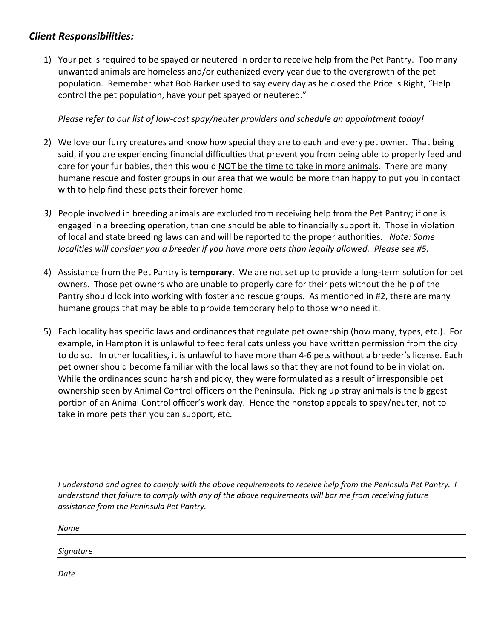#### *Client Responsibilities:*

1) Your pet is required to be spayed or neutered in order to receive help from the Pet Pantry. Too many unwanted animals are homeless and/or euthanized every year due to the overgrowth of the pet population. Remember what Bob Barker used to say every day as he closed the Price is Right, "Help control the pet population, have your pet spayed or neutered."

*Please refer to our list of low-cost spay/neuter providers and schedule an appointment today!*

- 2) We love our furry creatures and know how special they are to each and every pet owner. That being said, if you are experiencing financial difficulties that prevent you from being able to properly feed and care for your fur babies, then this would NOT be the time to take in more animals. There are many humane rescue and foster groups in our area that we would be more than happy to put you in contact with to help find these pets their forever home.
- *3)* People involved in breeding animals are excluded from receiving help from the Pet Pantry; if one is engaged in a breeding operation, than one should be able to financially support it. Those in violation of local and state breeding laws can and will be reported to the proper authorities. *Note: Some localities will consider you a breeder if you have more pets than legally allowed. Please see #5.*
- 4) Assistance from the Pet Pantry is **temporary**. We are not set up to provide a long-term solution for pet owners. Those pet owners who are unable to properly care for their pets without the help of the Pantry should look into working with foster and rescue groups. As mentioned in #2, there are many humane groups that may be able to provide temporary help to those who need it.
- 5) Each locality has specific laws and ordinances that regulate pet ownership (how many, types, etc.). For example, in Hampton it is unlawful to feed feral cats unless you have written permission from the city to do so. In other localities, it is unlawful to have more than 4-6 pets without a breeder's license. Each pet owner should become familiar with the local laws so that they are not found to be in violation. While the ordinances sound harsh and picky, they were formulated as a result of irresponsible pet ownership seen by Animal Control officers on the Peninsula. Picking up stray animals is the biggest portion of an Animal Control officer's work day. Hence the nonstop appeals to spay/neuter, not to take in more pets than you can support, etc.

*I understand and agree to comply with the above requirements to receive help from the Peninsula Pet Pantry. I understand that failure to comply with any of the above requirements will bar me from receiving future assistance from the Peninsula Pet Pantry.* 

*Name*

*Signature* 

*Date*